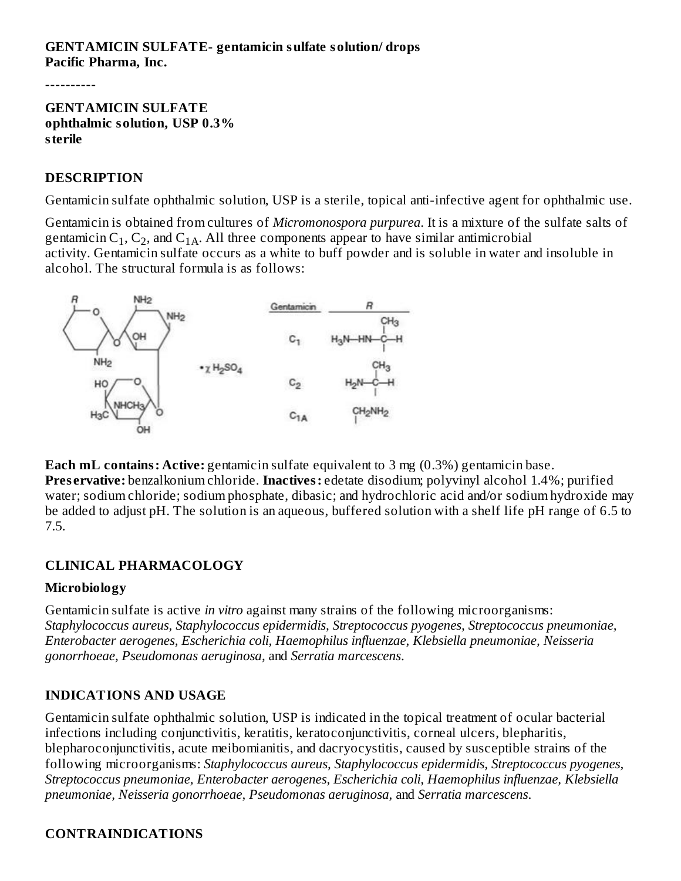# **GENTAMICIN SULFATE- gentamicin sulfate solution/ drops Pacific Pharma, Inc.**

----------

**GENTAMICIN SULFATE ophthalmic solution, USP 0.3% sterile**

#### **DESCRIPTION**

Gentamicin sulfate ophthalmic solution, USP is a sterile, topical anti-infective agent for ophthalmic use.

Gentamicin is obtained from cultures of *Micromonospora purpurea*. It is a mixture of the sulfate salts of gentamicin  $C_1$ ,  $C_2$ , and  $C_{1A}$ . All three components appear to have similar antimicrobial activity. Gentamicin sulfate occurs as a white to buff powder and is soluble in water and insoluble in alcohol. The structural formula is as follows:



**Each mL contains: Active:** gentamicin sulfate equivalent to 3 mg (0.3%) gentamicin base. **Pres ervative:** benzalkonium chloride. **Inactives:** edetate disodium; polyvinyl alcohol 1.4%; purified water; sodium chloride; sodium phosphate, dibasic; and hydrochloric acid and/or sodium hydroxide may be added to adjust pH. The solution is an aqueous, buffered solution with a shelf life pH range of 6.5 to 7.5.

# **CLINICAL PHARMACOLOGY**

# **Microbiology**

Gentamicin sulfate is active *in vitro* against many strains of the following microorganisms: *Staphylococcus aureus, Staphylococcus epidermidis, Streptococcus pyogenes, Streptococcus pneumoniae, Enterobacter aerogenes, Escherichia coli, Haemophilus influenzae, Klebsiella pneumoniae, Neisseria gonorrhoeae, Pseudomonas aeruginosa,* and *Serratia marcescens*.

# **INDICATIONS AND USAGE**

Gentamicin sulfate ophthalmic solution, USP is indicated in the topical treatment of ocular bacterial infections including conjunctivitis, keratitis, keratoconjunctivitis, corneal ulcers, blepharitis, blepharoconjunctivitis, acute meibomianitis, and dacryocystitis, caused by susceptible strains of the following microorganisms: *Staphylococcus aureus, Staphylococcus epidermidis, Streptococcus pyogenes, Streptococcus pneumoniae, Enterobacter aerogenes, Escherichia coli, Haemophilus influenzae, Klebsiella pneumoniae, Neisseria gonorrhoeae, Pseudomonas aeruginosa,* and *Serratia marcescens*.

# **CONTRAINDICATIONS**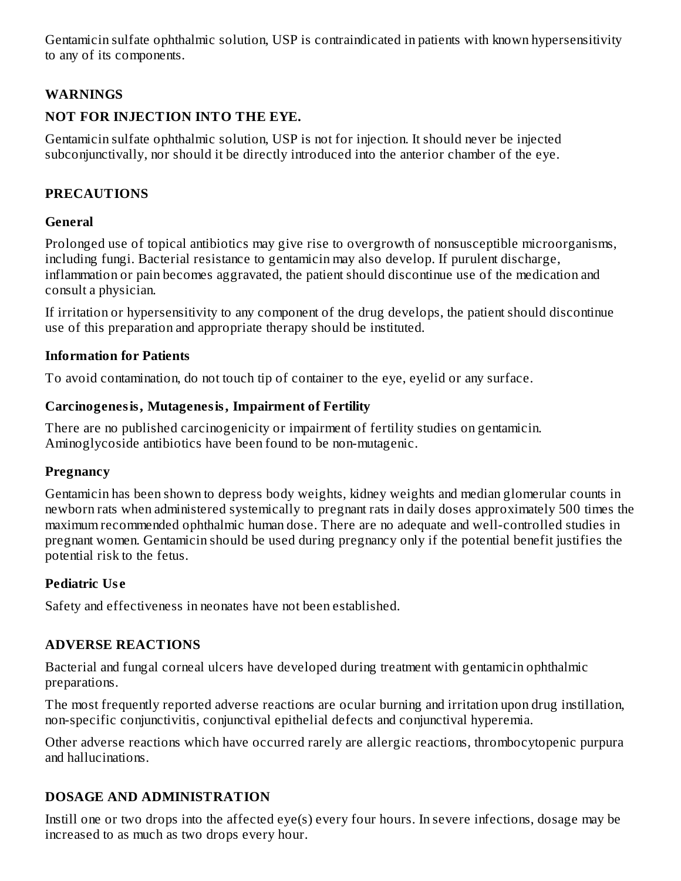Gentamicin sulfate ophthalmic solution, USP is contraindicated in patients with known hypersensitivity to any of its components.

# **WARNINGS**

# **NOT FOR INJECTION INTO THE EYE.**

Gentamicin sulfate ophthalmic solution, USP is not for injection. It should never be injected subconjunctivally, nor should it be directly introduced into the anterior chamber of the eye.

# **PRECAUTIONS**

# **General**

Prolonged use of topical antibiotics may give rise to overgrowth of nonsusceptible microorganisms, including fungi. Bacterial resistance to gentamicin may also develop. If purulent discharge, inflammation or pain becomes aggravated, the patient should discontinue use of the medication and consult a physician.

If irritation or hypersensitivity to any component of the drug develops, the patient should discontinue use of this preparation and appropriate therapy should be instituted.

#### **Information for Patients**

To avoid contamination, do not touch tip of container to the eye, eyelid or any surface.

# **Carcinogenesis, Mutagenesis, Impairment of Fertility**

There are no published carcinogenicity or impairment of fertility studies on gentamicin. Aminoglycoside antibiotics have been found to be non-mutagenic.

# **Pregnancy**

Gentamicin has been shown to depress body weights, kidney weights and median glomerular counts in newborn rats when administered systemically to pregnant rats in daily doses approximately 500 times the maximum recommended ophthalmic human dose. There are no adequate and well-controlled studies in pregnant women. Gentamicin should be used during pregnancy only if the potential benefit justifies the potential risk to the fetus.

# **Pediatric Us e**

Safety and effectiveness in neonates have not been established.

# **ADVERSE REACTIONS**

Bacterial and fungal corneal ulcers have developed during treatment with gentamicin ophthalmic preparations.

The most frequently reported adverse reactions are ocular burning and irritation upon drug instillation, non-specific conjunctivitis, conjunctival epithelial defects and conjunctival hyperemia.

Other adverse reactions which have occurred rarely are allergic reactions, thrombocytopenic purpura and hallucinations.

# **DOSAGE AND ADMINISTRATION**

Instill one or two drops into the affected eye(s) every four hours. In severe infections, dosage may be increased to as much as two drops every hour.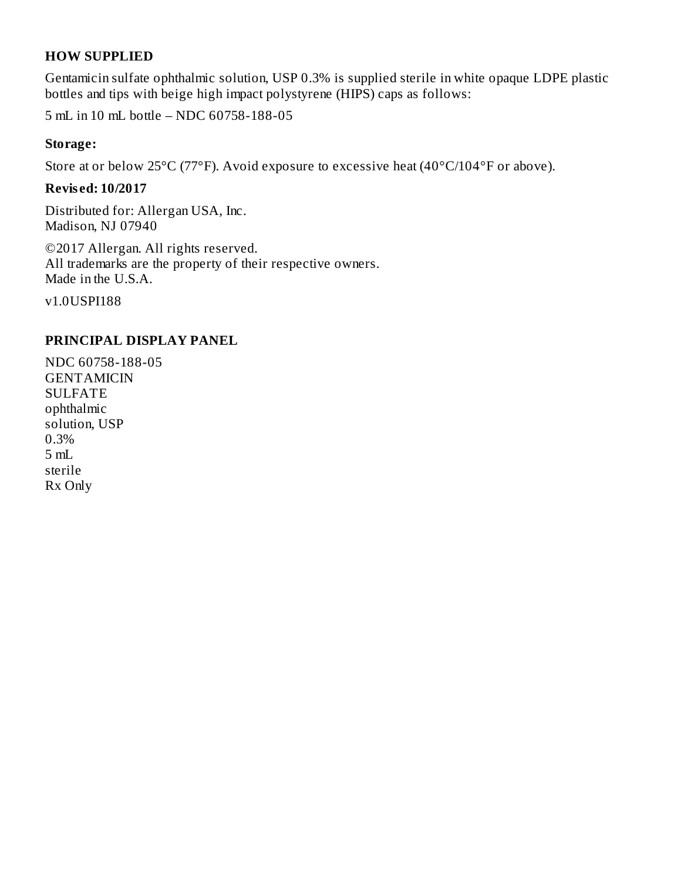# **HOW SUPPLIED**

Gentamicin sulfate ophthalmic solution, USP 0.3% is supplied sterile in white opaque LDPE plastic bottles and tips with beige high impact polystyrene (HIPS) caps as follows:

5 mL in 10 mL bottle – NDC 60758-188-05

#### **Storage:**

Store at or below 25°C (77°F). Avoid exposure to excessive heat (40°C/104°F or above).

#### **Revis ed: 10/2017**

Distributed for: Allergan USA, Inc. Madison, NJ 07940

©2017 Allergan. All rights reserved. All trademarks are the property of their respective owners. Made in the U.S.A.

v1.0USPI188

# **PRINCIPAL DISPLAY PANEL**

NDC 60758-188-05 GENTAMICIN SULFATE ophthalmic solution, USP 0.3% 5 mL sterile Rx Only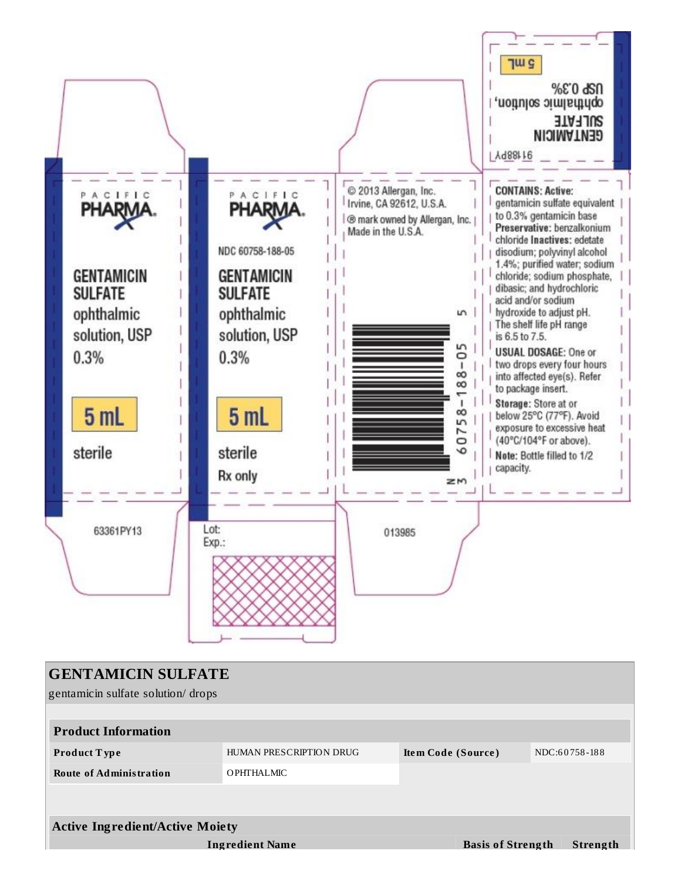